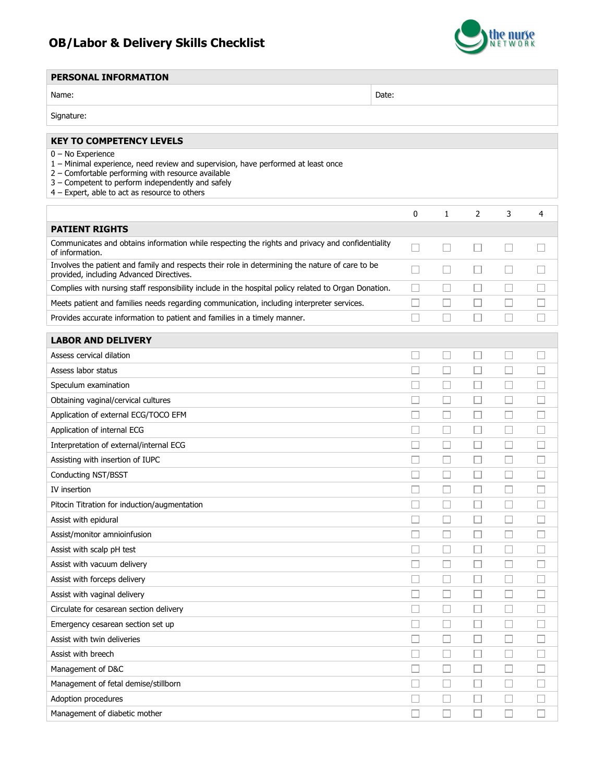## OB/Labor & Delivery Skills Checklist

Management of diabetic mother



## PERSONAL INFORMATION Name: Name: 2006. Note: 2006. Note: 2006. Note: 2006. Note: 2006. Note: 2006. Note: 2006. Note: 2006. Note: 2006. Note: 2006. Note: 2006. Note: 2006. Note: 2006. Note: 2006. Note: 2006. Note: 2006. Note: 2006. Note: 2006. Signature: KEY TO COMPETENCY LEVELS 0 – No Experience 1 – Minimal experience, need review and supervision, have performed at least once 2 – Comfortable performing with resource available 3 – Competent to perform independently and safely 4 – Expert, able to act as resource to others 0 1 2 3 4 PATIENT RIGHTS Communicates and obtains information while respecting the rights and privacy and confidentiality П  $\Box$  $\Box$  $\Box$  $\Box$ of information. Involves the patient and family and respects their role in determining the nature of care to be П  $\Box$  $\Box$ П  $\Box$ provided, including Advanced Directives. Complies with nursing staff responsibility include in the hospital policy related to Organ Donation.  $\Box$  $\Box$  $\Box$  $\Box$  $\Box$ Meets patient and families needs regarding communication, including interpreter services.  $\Box$  $\Box$  $\Box$  $\Box$  $\Box$  $\Box$  $\Box$  $\Box$  $\Box$  $\Box$ Provides accurate information to patient and families in a timely manner. LABOR AND DELIVERY Assess cervical dilation  $\Box$  $\Box$  $\Box$  $\Box$  $\Box$  $\Box$  $\Box$  $\Box$  $\Box$  $\Box$ Assess labor status  $\Box$  $\Box$  $\Box$  $\Box$  $\Box$ Speculum examination Obtaining vaginal/cervical cultures  $\Box$  $\Box$  $\Box$  $\Box$  $\Box$ Application of external ECG/TOCO EFM П П П  $\Box$ П  $\Box$  $\Box$  $\Box$ Application of internal ECG  $\Box$  $\Box$ Interpretation of external/internal ECG П П П  $\Box$  $\Box$ Assisting with insertion of IUPC  $\Box$ П  $\Box$ П  $\Box$  $\Box$  $\Box$  $\Box$  $\Box$ Conducting NST/BSST  $\Box$  $\Box$  $\Box$  $\Box$  $\Box$  $\Box$ IV insertion  $\Box$  $\Box$  $\Box$  $\Box$  $\Box$ Pitocin Titration for induction/augmentation П П  $\Box$  $\Box$  $\Box$ Assist with epidural  $\Box$  $\Box$  $\Box$  $\Box$  $\Box$ Assist/monitor amnioinfusion П  $\Box$  $\Box$  $\Box$  $\Box$ Assist with scalp pH test Assist with vacuum delivery П  $\Box$ П  $\Box$  $\Box$  $\Box$  $\Box$  $\Box$  $\Box$  $\Box$ Assist with forceps delivery  $\Box$  $\Box$  $\Box$  $\Box$  $\Box$ Assist with vaginal delivery  $\Box$  $\Box$  $\Box$  $\Box$  $\Box$ Circulate for cesarean section delivery Emergency cesarean section set up  $\Box$ П  $\Box$  $\Box$  $\Box$ П Assist with twin deliveries П П П  $\Box$  $\Box$ Assist with breech П  $\Box$  $\Box$  $\Box$  $\Box$  $\Box$  $\Box$ Management of D&C П  $\Box$ Management of fetal demise/stillborn  $\Box$  $\Box$  $\Box$  $\Box$  $\Box$  $\Box$  $\Box$  $\Box$  $\Box$  $\Box$ Adoption procedures

 $\Box$ 

 $\Box$ 

 $\Box$ 

 $\Box$ 

 $\Box$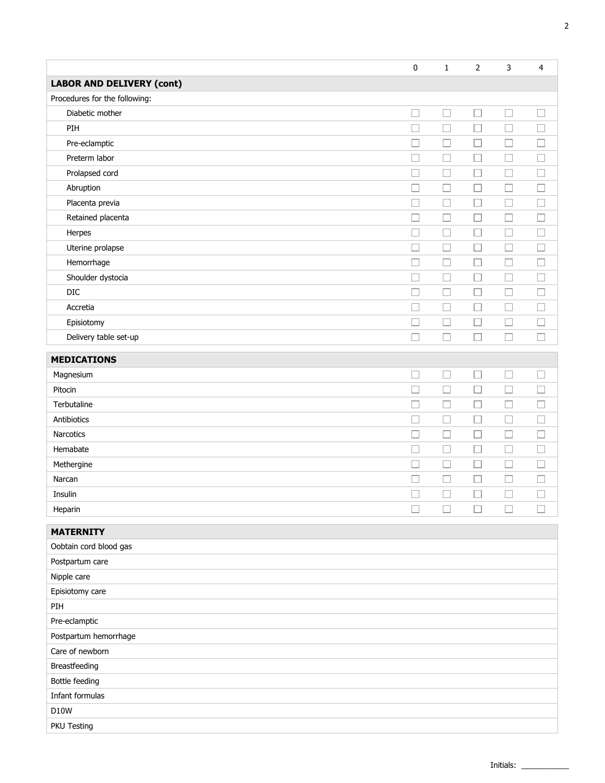|                                  | 0      | $\mathbf{1}$      | $\overline{2}$ | 3      | 4                        |
|----------------------------------|--------|-------------------|----------------|--------|--------------------------|
| <b>LABOR AND DELIVERY (cont)</b> |        |                   |                |        |                          |
| Procedures for the following:    |        |                   |                |        |                          |
| Diabetic mother                  | $\Box$ | $\Box$            | $\Box$         | $\Box$ | $\overline{\phantom{a}}$ |
| PIH                              | $\Box$ | П                 | $\Box$         | Е      |                          |
| Pre-eclamptic                    | $\Box$ | □                 | □              | E      |                          |
| Preterm labor                    | $\Box$ | $\Box$            | $\Box$         | Е      |                          |
| Prolapsed cord                   |        | □                 | П              | Е      |                          |
| Abruption                        | $\Box$ | П                 | □              | Е      | $\Box$                   |
| Placenta previa                  | $\Box$ | Ш                 | $\Box$         | Е      | ⊔                        |
| Retained placenta                | $\Box$ | $\Box$            | $\Box$         | Е      | $\Box$                   |
| Herpes                           | $\Box$ | П                 | □              | Г      | □                        |
| Uterine prolapse                 | $\Box$ | $\Box$            | □              | Е      | $\Box$                   |
| Hemorrhage                       | П      | П                 | □              | ⊏      | $\Box$                   |
| Shoulder dystocia                | П      | $\vert \ \ \vert$ | Ш              | П      | $\sim$                   |
| DIC                              |        | □                 | □              | Г      | $\Box$                   |
| Accretia                         | $\Box$ | $\Box$            | □              | L      | ⊔                        |
| Episiotomy                       | $\Box$ | $\Box$            | $\Box$         | $\Box$ | $\Box$                   |
| Delivery table set-up            | $\Box$ | П                 | П              | Г      | $\overline{\phantom{a}}$ |
| <b>MEDICATIONS</b>               |        |                   |                |        |                          |
| Magnesium                        | $\Box$ | Ш                 |                | L      |                          |
| Pitocin                          | $\Box$ | □                 | □              | ⊏      | $\Box$                   |
| Terbutaline                      | $\Box$ | L.                | $\Box$         | $\Box$ | $\Box$                   |
| Antibiotics                      | $\Box$ | $\Box$            | □              | ⊏      | $\Box$                   |
| Narcotics                        | $\Box$ | □                 | $\Box$         | Г      | $\Box$                   |
| Hemabate                         | $\Box$ | П                 | $\Box$         | ⊏      | $\Box$                   |
| Methergine                       | П      | П                 | □              | ⊏      | $\Box$                   |
| Narcan                           | $\Box$ | $\Box$            | $\Box$         | L      | $\Box$                   |
| Insulin                          |        | П                 |                | Г      |                          |
| Heparin                          | $\Box$ | П                 |                | П      |                          |
| <b>MATERNITY</b>                 |        |                   |                |        |                          |
| Oobtain cord blood gas           |        |                   |                |        |                          |
| Postpartum care                  |        |                   |                |        |                          |
| Nipple care                      |        |                   |                |        |                          |
| Episiotomy care                  |        |                   |                |        |                          |
| PIH                              |        |                   |                |        |                          |
| Pre-eclamptic                    |        |                   |                |        |                          |
| Postpartum hemorrhage            |        |                   |                |        |                          |
| Care of newborn                  |        |                   |                |        |                          |
| Breastfeeding                    |        |                   |                |        |                          |
| Bottle feeding                   |        |                   |                |        |                          |
| Infant formulas                  |        |                   |                |        |                          |
| <b>D10W</b>                      |        |                   |                |        |                          |
| PKU Testing                      |        |                   |                |        |                          |